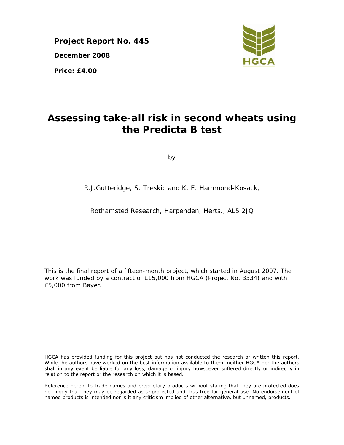**Project Report No. 445 December 2008 Price: £4.00** 



# **Assessing take-all risk in second wheats using the Predicta B test**

by

R.J.Gutteridge, S. Treskic and K. E. Hammond-Kosack,

Rothamsted Research, Harpenden, Herts., AL5 2JQ

This is the final report of a fifteen-month project, which started in August 2007. The work was funded by a contract of £15,000 from HGCA (Project No. 3334) and with £5,000 from Bayer.

HGCA has provided funding for this project but has not conducted the research or written this report. While the authors have worked on the best information available to them, neither HGCA nor the authors shall in any event be liable for any loss, damage or injury howsoever suffered directly or indirectly in relation to the report or the research on which it is based.

Reference herein to trade names and proprietary products without stating that they are protected does not imply that they may be regarded as unprotected and thus free for general use. No endorsement of named products is intended nor is it any criticism implied of other alternative, but unnamed, products.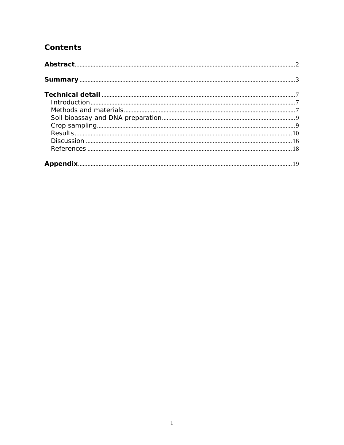## **Contents**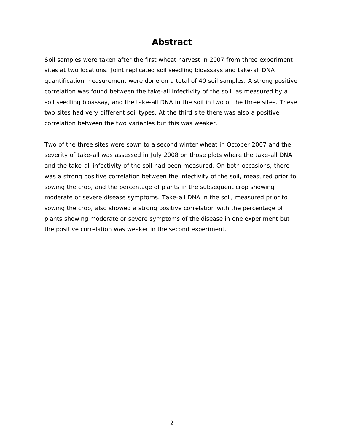## **Abstract**

Soil samples were taken after the first wheat harvest in 2007 from three experiment sites at two locations. Joint replicated soil seedling bioassays and take-all DNA quantification measurement were done on a total of 40 soil samples. A strong positive correlation was found between the take-all infectivity of the soil, as measured by a soil seedling bioassay, and the take-all DNA in the soil in two of the three sites. These two sites had very different soil types. At the third site there was also a positive correlation between the two variables but this was weaker.

Two of the three sites were sown to a second winter wheat in October 2007 and the severity of take-all was assessed in July 2008 on those plots where the take-all DNA and the take-all infectivity of the soil had been measured. On both occasions, there was a strong positive correlation between the infectivity of the soil, measured prior to sowing the crop, and the percentage of plants in the subsequent crop showing moderate or severe disease symptoms. Take-all DNA in the soil, measured prior to sowing the crop, also showed a strong positive correlation with the percentage of plants showing moderate or severe symptoms of the disease in one experiment but the positive correlation was weaker in the second experiment.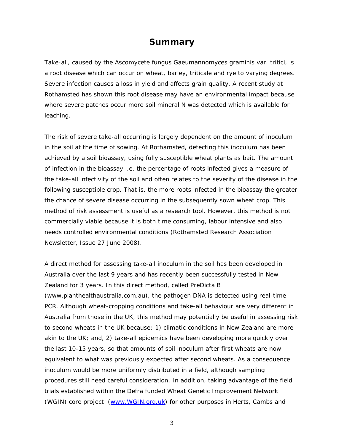## **Summary**

Take-all, caused by the Ascomycete fungus *Gaeumannomyces graminis* var. *tritici*, is a root disease which can occur on wheat, barley, triticale and rye to varying degrees. Severe infection causes a loss in yield and affects grain quality. A recent study at Rothamsted has shown this root disease may have an environmental impact because where severe patches occur more soil mineral N was detected which is available for leaching.

The risk of severe take-all occurring is largely dependent on the amount of inoculum in the soil at the time of sowing. At Rothamsted, detecting this inoculum has been achieved by a soil bioassay, using fully susceptible wheat plants as bait. The amount of infection in the bioassay i.e. the percentage of roots infected gives a measure of the take-all infectivity of the soil and often relates to the severity of the disease in the following susceptible crop. That is, the more roots infected in the bioassay the greater the chance of severe disease occurring in the subsequently sown wheat crop. This method of risk assessment is useful as a research tool. However, this method is not commercially viable because it is both time consuming, labour intensive and also needs controlled environmental conditions (Rothamsted Research Association Newsletter, Issue 27 June 2008).

A direct method for assessing take-all inoculum in the soil has been developed in Australia over the last 9 years and has recently been successfully tested in New Zealand for 3 years. In this direct method, called PreDicta B (www.planthealthaustralia.com.au), the pathogen DNA is detected using real-time PCR. Although wheat-cropping conditions and take-all behaviour are very different in Australia from those in the UK, this method may potentially be useful in assessing risk to second wheats in the UK because: 1) climatic conditions in New Zealand are more akin to the UK; and, 2) take-all epidemics have been developing more quickly over the last 10-15 years, so that amounts of soil inoculum after first wheats are now equivalent to what was previously expected after second wheats. As a consequence inoculum would be more uniformly distributed in a field, although sampling procedures still need careful consideration. In addition, taking advantage of the field trials established within the Defra funded Wheat Genetic Improvement Network (WGIN) core project (www.WGIN.org.uk) for other purposes in Herts, Cambs and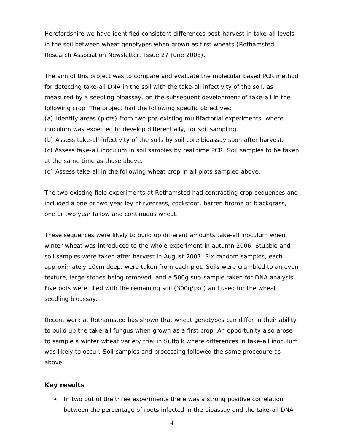Herefordshire we have identified consistent differences post-harvest in take-all levels in the soil between wheat genotypes when grown as first wheats (Rothamsted Research Association Newsletter, Issue 27 June 2008).

The aim of this project was to compare and evaluate the molecular based PCR method for detecting take-all DNA in the soil with the take-all infectivity of the soil, as measured by a seedling bioassay, on the subsequent development of take-all in the following crop. The project had the following specific objectives:

(a) Identify areas (plots) from two pre-existing multifactorial experiments, where inoculum was expected to develop differentially, for soil sampling.

(b) Assess take-all infectivity of the soils by soil core bioassay soon after harvest.

(c) Assess take-all inoculum in soil samples by real time PCR. Soil samples to be taken at the same time as those above.

(d) Assess take-all in the following wheat crop in all plots sampled above.

The two existing field experiments at Rothamsted had contrasting crop sequences and included a one or two year ley of ryegrass, cocksfoot, barren brome or blackgrass, one or two year fallow and continuous wheat.

These sequences were likely to build up different amounts take-all inoculum when winter wheat was introduced to the whole experiment in autumn 2006. Stubble and soil samples were taken after harvest in August 2007. Six random samples, each approximately 10cm deep, were taken from each plot. Soils were crumbled to an even texture, large stones being removed, and a 500g sub-sample taken for DNA analysis. Five pots were filled with the remaining soil (300g/pot) and used for the wheat seedling bioassay.

Recent work at Rothamsted has shown that wheat genotypes can differ in their ability to build up the take-all fungus when grown as a first crop. An opportunity also arose to sample a winter wheat variety trial in Suffolk where differences in take-all inoculum was likely to occur. Soil samples and processing followed the same procedure as above.

#### **Key results**

• In two out of the three experiments there was a strong positive correlation between the percentage of roots infected in the bioassay and the take-all DNA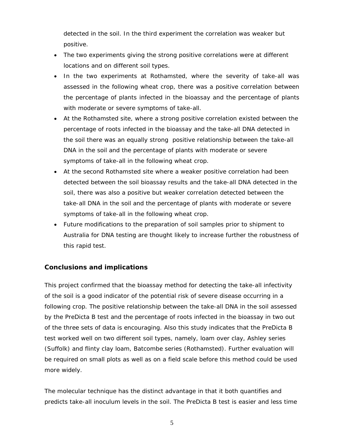detected in the soil. In the third experiment the correlation was weaker but positive.

- The two experiments giving the strong positive correlations were at different locations and on different soil types.
- In the two experiments at Rothamsted, where the severity of take-all was assessed in the following wheat crop, there was a positive correlation between the percentage of plants infected in the bioassay and the percentage of plants with moderate or severe symptoms of take-all.
- At the Rothamsted site, where a strong positive correlation existed between the percentage of roots infected in the bioassay and the take-all DNA detected in the soil there was an equally strong positive relationship between the take-all DNA in the soil and the percentage of plants with moderate or severe symptoms of take-all in the following wheat crop.
- At the second Rothamsted site where a weaker positive correlation had been detected between the soil bioassay results and the take-all DNA detected in the soil, there was also a positive but weaker correlation detected between the take-all DNA in the soil and the percentage of plants with moderate or severe symptoms of take-all in the following wheat crop.
- Future modifications to the preparation of soil samples prior to shipment to Australia for DNA testing are thought likely to increase further the robustness of this rapid test.

#### **Conclusions and implications**

This project confirmed that the bioassay method for detecting the take-all infectivity of the soil is a good indicator of the potential risk of severe disease occurring in a following crop. The positive relationship between the take-all DNA in the soil assessed by the PreDicta B test and the percentage of roots infected in the bioassay in two out of the three sets of data is encouraging. Also this study indicates that the PreDicta B test worked well on two different soil types, namely, loam over clay, Ashley series (Suffolk) and flinty clay loam, Batcombe series (Rothamsted). Further evaluation will be required on small plots as well as on a field scale before this method could be used more widely.

The molecular technique has the distinct advantage in that it both quantifies and predicts take-all inoculum levels in the soil. The PreDicta B test is easier and less time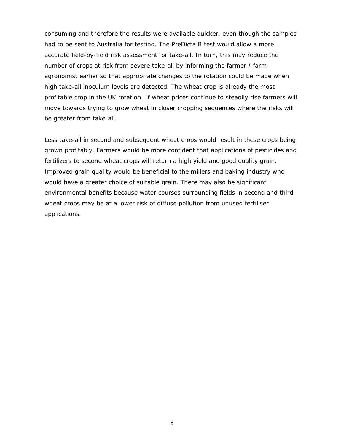consuming and therefore the results were available quicker, even though the samples had to be sent to Australia for testing. The PreDicta B test would allow a more accurate field-by-field risk assessment for take-all. In turn, this may reduce the number of crops at risk from severe take-all by informing the farmer / farm agronomist earlier so that appropriate changes to the rotation could be made when high take-all inoculum levels are detected. The wheat crop is already the most profitable crop in the UK rotation. If wheat prices continue to steadily rise farmers will move towards trying to grow wheat in closer cropping sequences where the risks will be greater from take-all.

Less take-all in second and subsequent wheat crops would result in these crops being grown profitably. Farmers would be more confident that applications of pesticides and fertilizers to second wheat crops will return a high yield and good quality grain. Improved grain quality would be beneficial to the millers and baking industry who would have a greater choice of suitable grain. There may also be significant environmental benefits because water courses surrounding fields in second and third wheat crops may be at a lower risk of diffuse pollution from unused fertiliser applications.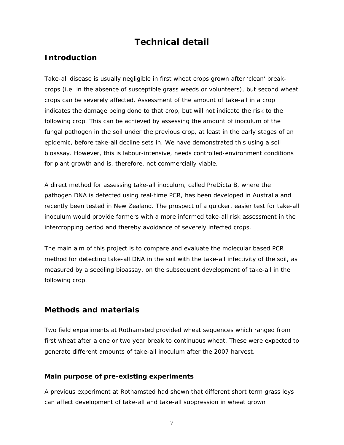## **Technical detail**

### **Introduction**

Take-all disease is usually negligible in first wheat crops grown after 'clean' breakcrops (i.e. in the absence of susceptible grass weeds or volunteers), but second wheat crops can be severely affected. Assessment of the amount of take-all in a crop indicates the damage being done to that crop, but will not indicate the risk to the following crop. This can be achieved by assessing the amount of inoculum of the fungal pathogen in the soil under the previous crop, at least in the early stages of an epidemic, before take-all decline sets in. We have demonstrated this using a soil bioassay. However, this is labour-intensive, needs controlled-environment conditions for plant growth and is, therefore, not commercially viable.

A direct method for assessing take-all inoculum, called PreDicta B, where the pathogen DNA is detected using real-time PCR, has been developed in Australia and recently been tested in New Zealand. The prospect of a quicker, easier test for take-all inoculum would provide farmers with a more informed take-all risk assessment in the intercropping period and thereby avoidance of severely infected crops.

The main aim of this project is to compare and evaluate the molecular based PCR method for detecting take-all DNA in the soil with the take-all infectivity of the soil, as measured by a seedling bioassay, on the subsequent development of take-all in the following crop.

### **Methods and materials**

Two field experiments at Rothamsted provided wheat sequences which ranged from first wheat after a one or two year break to continuous wheat. These were expected to generate different amounts of take-all inoculum after the 2007 harvest.

#### **Main purpose of pre-existing experiments**

A previous experiment at Rothamsted had shown that different short term grass leys can affect development of take-all and take-all suppression in wheat grown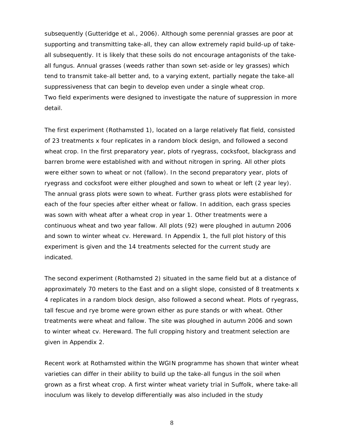subsequently (Gutteridge *et al.,* 2006). Although some perennial grasses are poor at supporting and transmitting take-all, they can allow extremely rapid build-up of takeall subsequently. It is likely that these soils do not encourage antagonists of the takeall fungus. Annual grasses (weeds rather than sown set-aside or ley grasses) which tend to transmit take-all better and, to a varying extent, partially negate the take-all suppressiveness that can begin to develop even under a single wheat crop. Two field experiments were designed to investigate the nature of suppression in more detail.

The first experiment (Rothamsted 1), located on a large relatively flat field, consisted of 23 treatments x four replicates in a random block design, and followed a second wheat crop. In the first preparatory year, plots of ryegrass, cocksfoot, blackgrass and barren brome were established with and without nitrogen in spring. All other plots were either sown to wheat or not (fallow). In the second preparatory year, plots of ryegrass and cocksfoot were either ploughed and sown to wheat or left (2 year ley). The annual grass plots were sown to wheat. Further grass plots were established for each of the four species after either wheat or fallow. In addition, each grass species was sown with wheat after a wheat crop in year 1. Other treatments were a continuous wheat and two year fallow. All plots (92) were ploughed in autumn 2006 and sown to winter wheat cv. Hereward. In Appendix 1, the full plot history of this experiment is given and the 14 treatments selected for the current study are indicated.

The second experiment (Rothamsted 2) situated in the same field but at a distance of approximately 70 meters to the East and on a slight slope, consisted of 8 treatments x 4 replicates in a random block design, also followed a second wheat. Plots of ryegrass, tall fescue and rye brome were grown either as pure stands or with wheat. Other treatments were wheat and fallow. The site was ploughed in autumn 2006 and sown to winter wheat cv. Hereward. The full cropping history and treatment selection are given in Appendix 2.

Recent work at Rothamsted within the WGIN programme has shown that winter wheat varieties can differ in their ability to build up the take-all fungus in the soil when grown as a first wheat crop. A first winter wheat variety trial in Suffolk, where take-all inoculum was likely to develop differentially was also included in the study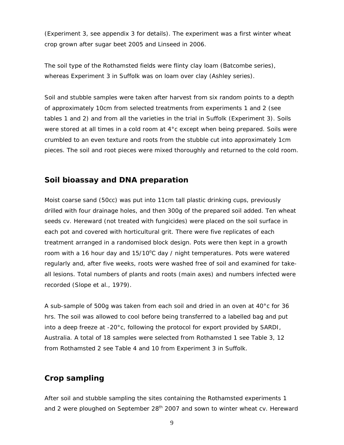(Experiment 3, see appendix 3 for details). The experiment was a first winter wheat crop grown after sugar beet 2005 and Linseed in 2006.

The soil type of the Rothamsted fields were flinty clay loam (Batcombe series), whereas Experiment 3 in Suffolk was on loam over clay (Ashley series).

Soil and stubble samples were taken after harvest from six random points to a depth of approximately 10cm from selected treatments from experiments 1 and 2 (see tables 1 and 2) and from all the varieties in the trial in Suffolk (Experiment 3). Soils were stored at all times in a cold room at 4°c except when being prepared. Soils were crumbled to an even texture and roots from the stubble cut into approximately 1cm pieces. The soil and root pieces were mixed thoroughly and returned to the cold room.

#### **Soil bioassay and DNA preparation**

Moist coarse sand (50cc) was put into 11cm tall plastic drinking cups, previously drilled with four drainage holes, and then 300g of the prepared soil added. Ten wheat seeds cv. Hereward (not treated with fungicides) were placed on the soil surface in each pot and covered with horticultural grit. There were five replicates of each treatment arranged in a randomised block design. Pots were then kept in a growth room with a 16 hour day and  $15/10^{\circ}$ C day / night temperatures. Pots were watered regularly and, after five weeks, roots were washed free of soil and examined for takeall lesions. Total numbers of plants and roots (main axes) and numbers infected were recorded (Slope *et al.,* 1979).

A sub-sample of 500g was taken from each soil and dried in an oven at 40°c for 36 hrs. The soil was allowed to cool before being transferred to a labelled bag and put into a deep freeze at -20°c, following the protocol for export provided by SARDI, Australia. A total of 18 samples were selected from Rothamsted 1 see Table 3, 12 from Rothamsted 2 see Table 4 and 10 from Experiment 3 in Suffolk.

### **Crop sampling**

After soil and stubble sampling the sites containing the Rothamsted experiments 1 and 2 were ploughed on September  $28<sup>th</sup>$  2007 and sown to winter wheat cv. Hereward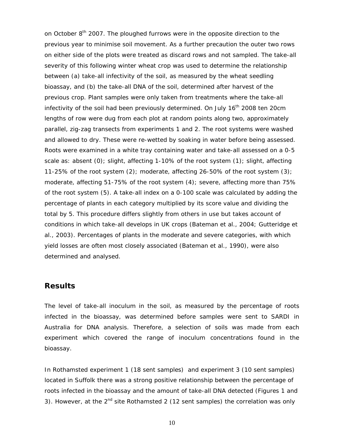on October  $8<sup>th</sup>$  2007. The ploughed furrows were in the opposite direction to the previous year to minimise soil movement. As a further precaution the outer two rows on either side of the plots were treated as discard rows and not sampled. The take-all severity of this following winter wheat crop was used to determine the relationship between (a) take-all infectivity of the soil, as measured by the wheat seedling bioassay, and (b) the take-all DNA of the soil, determined after harvest of the previous crop. Plant samples were only taken from treatments where the take-all infectivity of the soil had been previously determined. On July 16<sup>th</sup> 2008 ten 20cm lengths of row were dug from each plot at random points along two, approximately parallel, zig-zag transects from experiments 1 and 2. The root systems were washed and allowed to dry. These were re-wetted by soaking in water before being assessed. Roots were examined in a white tray containing water and take-all assessed on a 0-5 scale as: absent (0); slight, affecting 1-10% of the root system (1); slight, affecting 11-25% of the root system (2); moderate, affecting 26-50% of the root system (3); moderate, affecting 51-75% of the root system (4); severe, affecting more than 75% of the root system (5). A take-all index on a 0-100 scale was calculated by adding the percentage of plants in each category multiplied by its score value and dividing the total by 5. This procedure differs slightly from others in use but takes account of conditions in which take-all develops in UK crops (Bateman *et al*., 2004; Gutteridge *et al*., 2003). Percentages of plants in the moderate and severe categories, with which yield losses are often most closely associated (Bateman *et al*., 1990), were also determined and analysed.

#### **Results**

The level of take-all inoculum in the soil, as measured by the percentage of roots infected in the bioassay, was determined before samples were sent to SARDI in Australia for DNA analysis. Therefore, a selection of soils was made from each experiment which covered the range of inoculum concentrations found in the bioassay.

In Rothamsted experiment 1 (18 sent samples) and experiment 3 (10 sent samples) located in Suffolk there was a strong positive relationship between the percentage of roots infected in the bioassay and the amount of take-all DNA detected (Figures 1 and 3). However, at the  $2^{nd}$  site Rothamsted 2 (12 sent samples) the correlation was only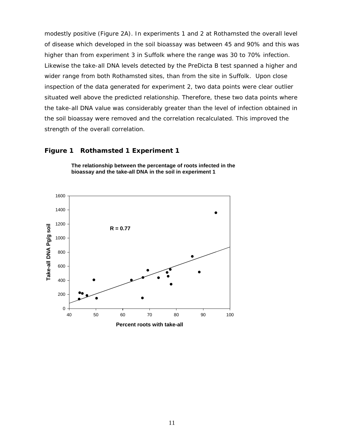modestly positive (Figure 2A). In experiments 1 and 2 at Rothamsted the overall level of disease which developed in the soil bioassay was between 45 and 90% and this was higher than from experiment 3 in Suffolk where the range was 30 to 70% infection. Likewise the take-all DNA levels detected by the PreDicta B test spanned a higher and wider range from both Rothamsted sites, than from the site in Suffolk. Upon close inspection of the data generated for experiment 2, two data points were clear outlier situated well above the predicted relationship. Therefore, these two data points where the take-all DNA value was considerably greater than the level of infection obtained in the soil bioassay were removed and the correlation recalculated. This improved the strength of the overall correlation.

#### **Figure 1 Rothamsted 1 Experiment 1**



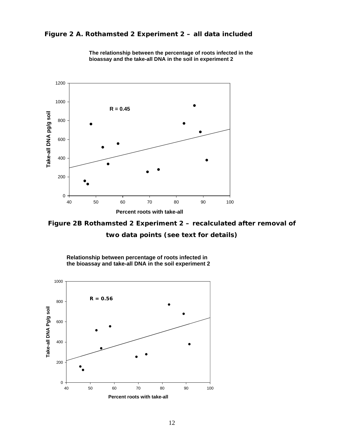#### **Figure 2 A. Rothamsted 2 Experiment 2 – all data included**



**The relationship between the percentage of roots infected in the bioassay and the take-all DNA in the soil in experiment 2**



**Relationship between percentage of roots infected in the bioassay and take-all DNA in the soil experiment 2**

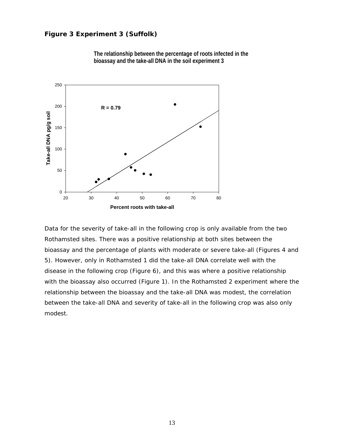#### **Figure 3 Experiment 3 (Suffolk)**





Data for the severity of take-all in the following crop is only available from the two Rothamsted sites. There was a positive relationship at both sites between the bioassay and the percentage of plants with moderate or severe take-all (Figures 4 and 5). However, only in Rothamsted 1 did the take-all DNA correlate well with the disease in the following crop (Figure 6), and this was where a positive relationship with the bioassay also occurred (Figure 1). In the Rothamsted 2 experiment where the relationship between the bioassay and the take-all DNA was modest, the correlation between the take-all DNA and severity of take-all in the following crop was also only modest.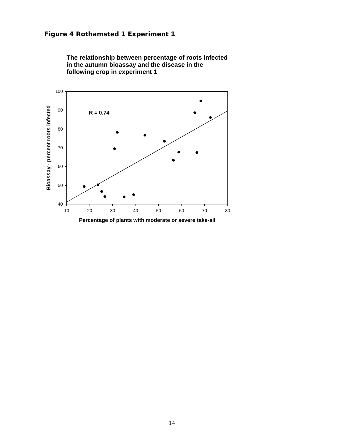

**The relationship between percentage of roots infected in the autumn bioassay and the disease in the following crop in experiment 1**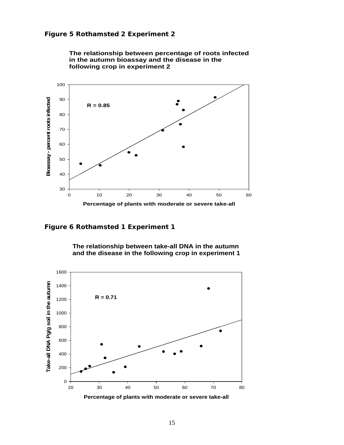

**The relationship between percentage of roots infected in the autumn bioassay and the disease in the following crop in experiment 2**

**Figure 6 Rothamsted 1 Experiment 1** 



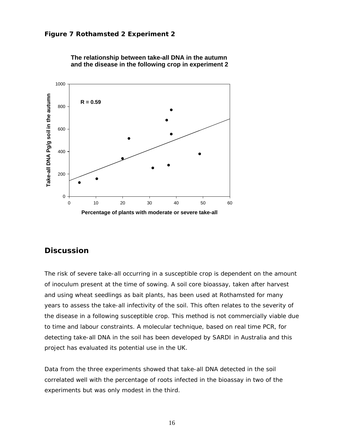



### **Discussion**

The risk of severe take-all occurring in a susceptible crop is dependent on the amount of inoculum present at the time of sowing. A soil core bioassay, taken after harvest and using wheat seedlings as bait plants, has been used at Rothamsted for many years to assess the take-all infectivity of the soil. This often relates to the severity of the disease in a following susceptible crop. This method is not commercially viable due to time and labour constraints. A molecular technique, based on real time PCR, for detecting take-all DNA in the soil has been developed by SARDI in Australia and this project has evaluated its potential use in the UK.

Data from the three experiments showed that take-all DNA detected in the soil correlated well with the percentage of roots infected in the bioassay in two of the experiments but was only modest in the third.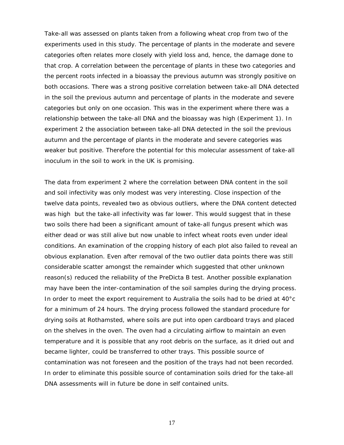Take-all was assessed on plants taken from a following wheat crop from two of the experiments used in this study. The percentage of plants in the moderate and severe categories often relates more closely with yield loss and, hence, the damage done to that crop. A correlation between the percentage of plants in these two categories and the percent roots infected in a bioassay the previous autumn was strongly positive on both occasions. There was a strong positive correlation between take-all DNA detected in the soil the previous autumn and percentage of plants in the moderate and severe categories but only on one occasion. This was in the experiment where there was a relationship between the take-all DNA and the bioassay was high (Experiment 1). In experiment 2 the association between take-all DNA detected in the soil the previous autumn and the percentage of plants in the moderate and severe categories was weaker but positive. Therefore the potential for this molecular assessment of take-all inoculum in the soil to work in the UK is promising.

The data from experiment 2 where the correlation between DNA content in the soil and soil infectivity was only modest was very interesting. Close inspection of the twelve data points, revealed two as obvious outliers, where the DNA content detected was high but the take-all infectivity was far lower. This would suggest that in these two soils there had been a significant amount of take-all fungus present which was either dead or was still alive but now unable to infect wheat roots even under ideal conditions. An examination of the cropping history of each plot also failed to reveal an obvious explanation. Even after removal of the two outlier data points there was still considerable scatter amongst the remainder which suggested that other unknown reason(s) reduced the reliability of the PreDicta B test. Another possible explanation may have been the inter-contamination of the soil samples during the drying process. In order to meet the export requirement to Australia the soils had to be dried at 40°c for a minimum of 24 hours. The drying process followed the standard procedure for drying soils at Rothamsted, where soils are put into open cardboard trays and placed on the shelves in the oven. The oven had a circulating airflow to maintain an even temperature and it is possible that any root debris on the surface, as it dried out and became lighter, could be transferred to other trays. This possible source of contamination was not foreseen and the position of the trays had not been recorded. In order to eliminate this possible source of contamination soils dried for the take-all DNA assessments will in future be done in self contained units.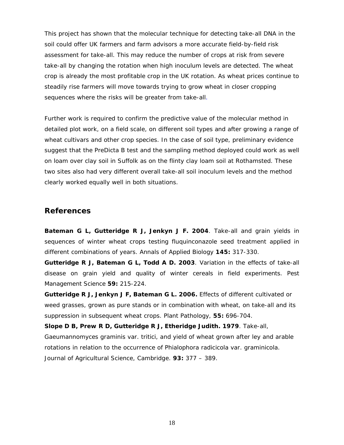This project has shown that the molecular technique for detecting take-all DNA in the soil could offer UK farmers and farm advisors a more accurate field-by-field risk assessment for take-all. This may reduce the number of crops at risk from severe take-all by changing the rotation when high inoculum levels are detected. The wheat crop is already the most profitable crop in the UK rotation. As wheat prices continue to steadily rise farmers will move towards trying to grow wheat in closer cropping sequences where the risks will be greater from take-all.

Further work is required to confirm the predictive value of the molecular method in detailed plot work, on a field scale, on different soil types and after growing a range of wheat cultivars and other crop species. In the case of soil type, preliminary evidence suggest that the PreDicta B test and the sampling method deployed could work as well on loam over clay soil in Suffolk as on the flinty clay loam soil at Rothamsted. These two sites also had very different overall take-all soil inoculum levels and the method clearly worked equally well in both situations.

#### **References**

**Bateman G L, Gutteridge R J, Jenkyn J F. 2004**. Take-all and grain yields in sequences of winter wheat crops testing fluquinconazole seed treatment applied in different combinations of years. *Annals of Applied Biology* **145:** 317-330.

**Gutteridge R J, Bateman G L, Todd A D. 2003**. Variation in the effects of take-all disease on grain yield and quality of winter cereals in field experiments. *Pest Management Science* **59:** 215-224.

**Gutteridge R J, Jenkyn J F, Bateman G L. 2006.** Effects of different cultivated or weed grasses, grown as pure stands or in combination with wheat, on take-all and its suppression in subsequent wheat crops. *Plant Pathology*, **55:** 696-704.

**Slope D B, Prew R D, Gutteridge R J, Etheridge Judith. 1979**. Take-all, *Gaeumannomyces graminis* var. *tritici*, and yield of wheat grown after ley and arable rotations in relation to the occurrence of *Phialophora radicicola* var. *graminicola. Journal of Agricultural Science, Cambridge*. **93:** 377 – 389.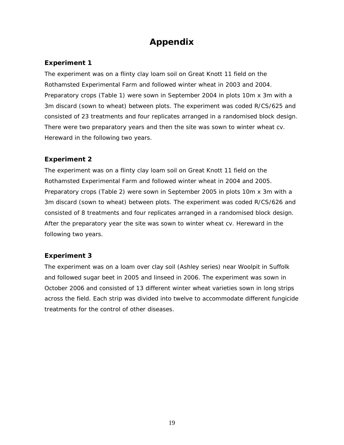## **Appendix**

#### **Experiment 1**

The experiment was on a flinty clay loam soil on Great Knott 11 field on the Rothamsted Experimental Farm and followed winter wheat in 2003 and 2004. Preparatory crops (Table 1) were sown in September 2004 in plots 10m x 3m with a 3m discard (sown to wheat) between plots. The experiment was coded R/CS/625 and consisted of 23 treatments and four replicates arranged in a randomised block design. There were two preparatory years and then the site was sown to winter wheat cv. Hereward in the following two years.

#### **Experiment 2**

The experiment was on a flinty clay loam soil on Great Knott 11 field on the Rothamsted Experimental Farm and followed winter wheat in 2004 and 2005. Preparatory crops (Table 2) were sown in September 2005 in plots 10m x 3m with a 3m discard (sown to wheat) between plots. The experiment was coded R/CS/626 and consisted of 8 treatments and four replicates arranged in a randomised block design. After the preparatory year the site was sown to winter wheat cv. Hereward in the following two years.

#### **Experiment 3**

The experiment was on a loam over clay soil (Ashley series) near Woolpit in Suffolk and followed sugar beet in 2005 and linseed in 2006. The experiment was sown in October 2006 and consisted of 13 different winter wheat varieties sown in long strips across the field. Each strip was divided into twelve to accommodate different fungicide treatments for the control of other diseases.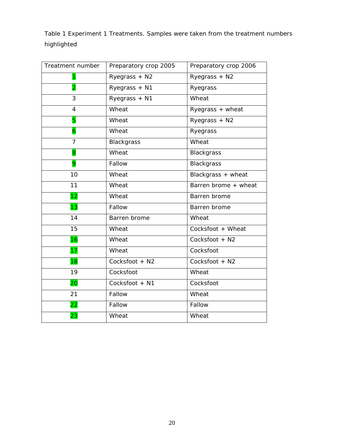Table 1 Experiment 1 Treatments. Samples were taken from the treatment numbers highlighted

| Treatment number        | Preparatory crop 2005 | Preparatory crop 2006  |  |  |
|-------------------------|-----------------------|------------------------|--|--|
| 1                       | Ryegrass + N2         | Ryegrass + N2          |  |  |
| $\overline{\mathbf{2}}$ | Ryegrass + N1         | Ryegrass               |  |  |
| 3                       | Ryegrass + N1         | Wheat                  |  |  |
| $\overline{4}$          | Wheat                 | Ryegrass + wheat       |  |  |
| 5                       | Wheat                 | Ryegrass + N2          |  |  |
| $\overline{6}$          | Wheat                 | Ryegrass               |  |  |
| 7                       | Blackgrass            | Wheat                  |  |  |
| 8                       | Wheat                 | Blackgrass             |  |  |
| 9                       | Fallow                | <b>Blackgrass</b>      |  |  |
| 10                      | Wheat                 | Blackgrass + wheat     |  |  |
| 11                      | Wheat                 | Barren brome $+$ wheat |  |  |
| 12                      | Wheat                 | Barren brome           |  |  |
| 13                      | Fallow                | Barren brome           |  |  |
| 14                      | Barren brome          | Wheat                  |  |  |
| 15                      | Wheat                 | Cocksfoot + Wheat      |  |  |
| 16                      | Wheat                 | Cocksfoot + N2         |  |  |
| 17                      | Wheat                 | Cocksfoot              |  |  |
| 18                      | Cocksfoot + N2        | Cocksfoot + N2         |  |  |
| 19                      | Cocksfoot             | Wheat                  |  |  |
| 20                      | Cocksfoot + N1        | Cocksfoot              |  |  |
| 21                      | Fallow                | Wheat                  |  |  |
| 22                      | Fallow                | Fallow                 |  |  |
| 23                      | Wheat                 | Wheat                  |  |  |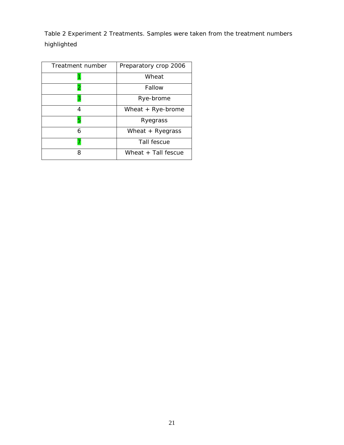Table 2 Experiment 2 Treatments. Samples were taken from the treatment numbers highlighted

| Treatment number | Preparatory crop 2006 |
|------------------|-----------------------|
|                  | Wheat                 |
| 2                | Fallow                |
| 3                | Rye-brome             |
| 4                | Wheat $+$ Rye-brome   |
| 5                | Ryegrass              |
| 6                | Wheat $+$ Ryegrass    |
|                  | Tall fescue           |
| 8                | Wheat + Tall fescue   |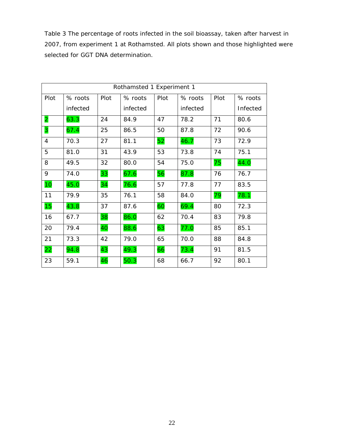Table 3 The percentage of roots infected in the soil bioassay, taken after harvest in 2007, from experiment 1 at Rothamsted. All plots shown and those highlighted were selected for GGT DNA determination.

| Rothamsted 1 Experiment 1 |          |      |          |      |          |      |          |
|---------------------------|----------|------|----------|------|----------|------|----------|
| Plot                      | % roots  | Plot | % roots  | Plot | % roots  | Plot | % roots  |
|                           | infected |      | infected |      | infected |      | Infected |
| $\overline{2}$            | 63.3     | 24   | 84.9     | 47   | 78.2     | 71   | 80.6     |
| 3                         | 67.4     | 25   | 86.5     | 50   | 87.8     | 72   | 90.6     |
| $\overline{4}$            | 70.3     | 27   | 81.1     | 52   | 46.7     | 73   | 72.9     |
| 5                         | 81.0     | 31   | 43.9     | 53   | 73.8     | 74   | 75.1     |
| 8                         | 49.5     | 32   | 80.0     | 54   | 75.0     | 75   | 44.0     |
| 9                         | 74.0     | 33   | 67.6     | 56   | 87.8     | 76   | 76.7     |
| 10                        | 45.0     | 34   | 76.6     | 57   | 77.8     | 77   | 83.5     |
| 11                        | 79.9     | 35   | 76.1     | 58   | 84.0     | 79   | 78.1     |
| 15                        | 43.8     | 37   | 87.6     | 60   | 69.4     | 80   | 72.3     |
| 16                        | 67.7     | 38   | 86.0     | 62   | 70.4     | 83   | 79.8     |
| 20                        | 79.4     | 40   | 88.6     | 63   | 77.0     | 85   | 85.1     |
| 21                        | 73.3     | 42   | 79.0     | 65   | 70.0     | 88   | 84.8     |
| 22                        | 94.8     | 43   | 49.3     | 66   | 73.4     | 91   | 81.5     |
| 23                        | 59.1     | 46   | 50.3     | 68   | 66.7     | 92   | 80.1     |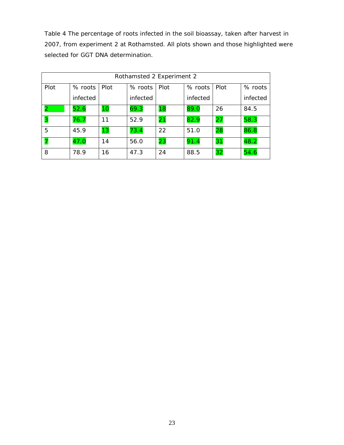Table 4 The percentage of roots infected in the soil bioassay, taken after harvest in 2007, from experiment 2 at Rothamsted. All plots shown and those highlighted were selected for GGT DNA determination.

| Rothamsted 2 Experiment 2 |                |    |          |      |          |      |          |
|---------------------------|----------------|----|----------|------|----------|------|----------|
| Plot                      | % roots   Plot |    | % roots  | Plot | % roots  | Plot | % roots  |
|                           | infected       |    | infected |      | infected |      | infected |
|                           | 52.6           | 10 | 69.3     | 18   | 89.0     | 26   | 84.5     |
| 3                         | 76.7           | 11 | 52.9     | 21   | 82.9     | 27   | 58.3     |
| 5                         | 45.9           | 13 | 73.4     | 22   | 51.0     | 28   | 86.8     |
|                           | 47.0           | 14 | 56.0     | 23   | 91.4     | 31   | 48.2     |
| 8                         | 78.9           | 16 | 47.3     | 24   | 88.5     | 32   | 54.6     |